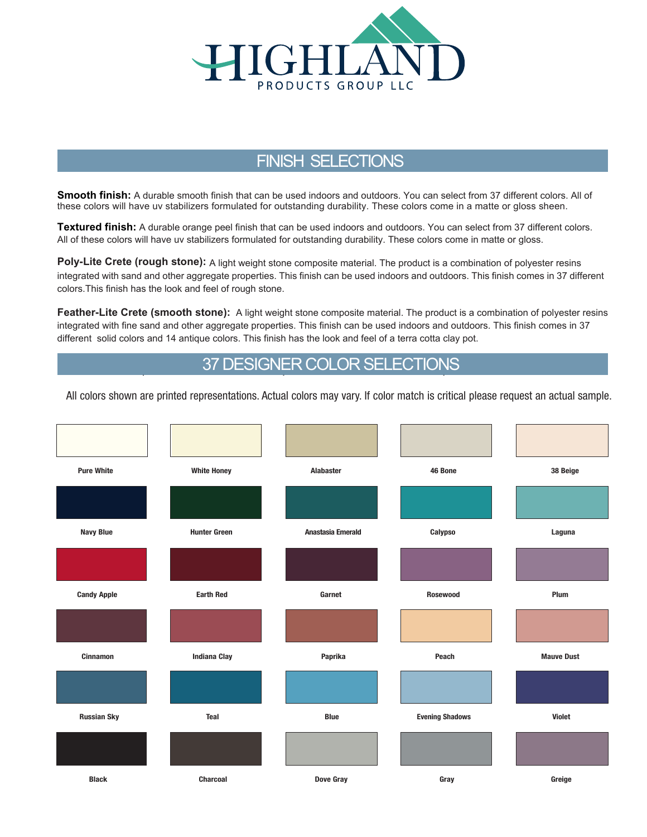

## FINISH SELECTIONS

**Smooth finish:** A durable smooth finish that can be used indoors and outdoors. You can select from 37 different colors. All of these colors will have uv stabilizers formulated for outstanding durability. These colors come in a matte or gloss sheen.

**Textured finish:** A durable orange peel finish that can be used indoors and outdoors. You can select from 37 different colors. All of these colors will have uv stabilizers formulated for outstanding durability. These colors come in matte or gloss.

**Poly-Lite Crete (rough stone):** A light weight stone composite material. The product is a combination of polyester resins integrated with sand and other aggregate properties. This finish can be used indoors and outdoors. This finish comes in 37 different colors.This finish has the look and feel of rough stone.

**Feather-Lite Crete (smooth stone):** A light weight stone composite material. The product is a combination of polyester resins integrated with fine sand and other aggregate properties. This finish can be used indoors and outdoors. This finish comes in 37 different solid colors and 14 antique colors. This finish has the look and feel of a terra cotta clay pot.

## **l all 37 DESIGNER COLOR SELECTIONS**

All colors shown are printed representations. Actual colors may vary. If color match is critical please request an actual sample.

| <b>Pure White</b>  | <b>White Honey</b>  | <b>Alabaster</b>  | 46 Bone                | 38 Beige          |
|--------------------|---------------------|-------------------|------------------------|-------------------|
|                    |                     |                   |                        |                   |
| <b>Navy Blue</b>   | <b>Hunter Green</b> | Anastasia Emerald | Calypso                | Laguna            |
|                    |                     |                   |                        |                   |
| <b>Candy Apple</b> | <b>Earth Red</b>    | Garnet            | Rosewood               | Plum              |
|                    |                     |                   |                        |                   |
| <b>Cinnamon</b>    | <b>Indiana Clay</b> | Paprika           | Peach                  | <b>Mauve Dust</b> |
|                    |                     |                   |                        |                   |
| <b>Russian Sky</b> | Teal                | <b>Blue</b>       | <b>Evening Shadows</b> | <b>Violet</b>     |
|                    |                     |                   |                        |                   |
| <b>Black</b>       | Charcoal            | Dove Gray         | Gray                   | Greige            |